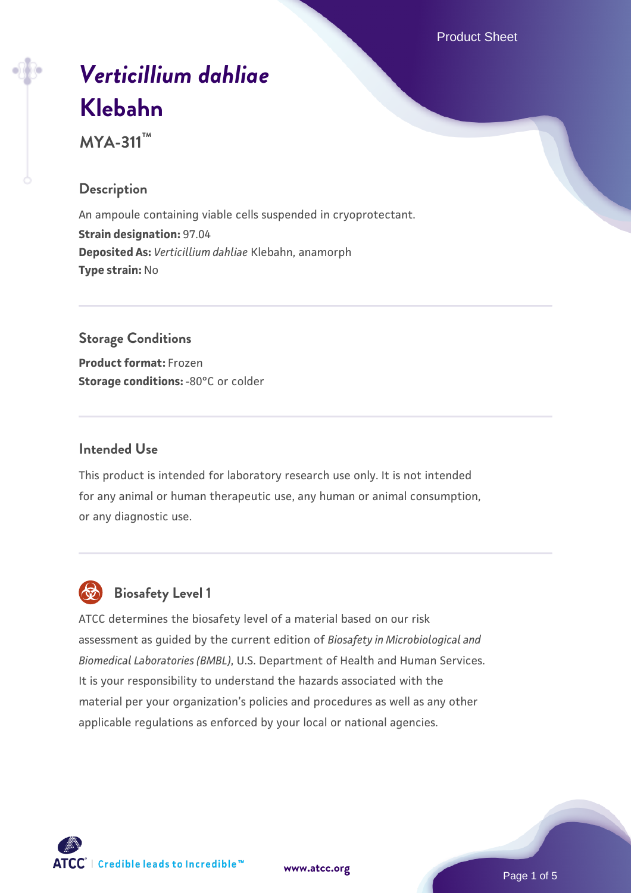Product Sheet

# *[Verticillium dahliae](https://www.atcc.org/products/mya-311)* **[Klebahn](https://www.atcc.org/products/mya-311)**

**MYA-311™**

# **Description**

An ampoule containing viable cells suspended in cryoprotectant. **Strain designation:** 97.04 **Deposited As:** *Verticillium dahliae* Klebahn, anamorph **Type strain:** No

# **Storage Conditions**

**Product format:** Frozen **Storage conditions: -80°C or colder** 

# **Intended Use**

This product is intended for laboratory research use only. It is not intended for any animal or human therapeutic use, any human or animal consumption, or any diagnostic use.



# **Biosafety Level 1**

ATCC determines the biosafety level of a material based on our risk assessment as guided by the current edition of *Biosafety in Microbiological and Biomedical Laboratories (BMBL)*, U.S. Department of Health and Human Services. It is your responsibility to understand the hazards associated with the material per your organization's policies and procedures as well as any other applicable regulations as enforced by your local or national agencies.

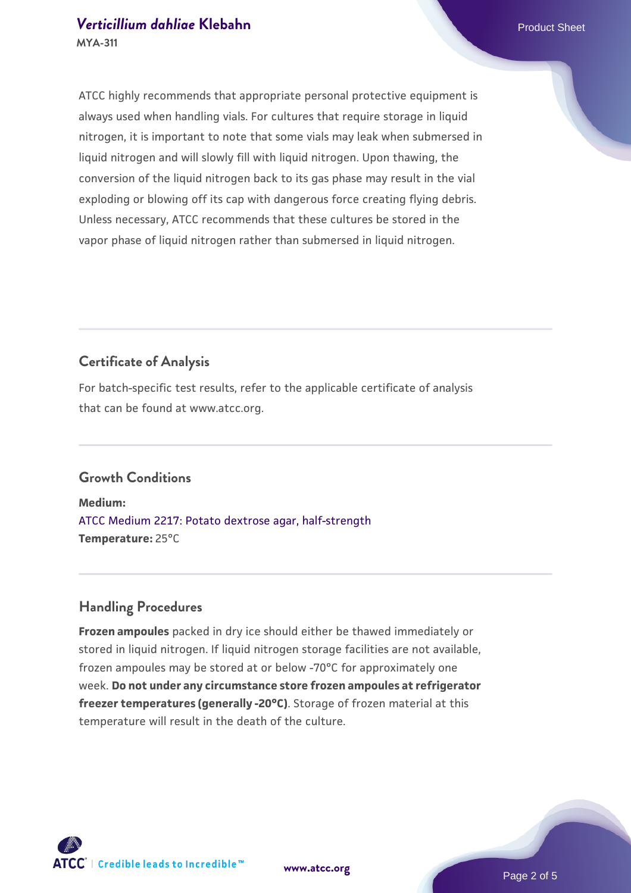## *[Verticillium dahliae](https://www.atcc.org/products/mya-311)* [Klebahn](https://www.atcc.org/products/mya-311) **Product Sheet MYA-311**

ATCC highly recommends that appropriate personal protective equipment is always used when handling vials. For cultures that require storage in liquid nitrogen, it is important to note that some vials may leak when submersed in liquid nitrogen and will slowly fill with liquid nitrogen. Upon thawing, the conversion of the liquid nitrogen back to its gas phase may result in the vial exploding or blowing off its cap with dangerous force creating flying debris. Unless necessary, ATCC recommends that these cultures be stored in the vapor phase of liquid nitrogen rather than submersed in liquid nitrogen.

# **Certificate of Analysis**

For batch-specific test results, refer to the applicable certificate of analysis that can be found at www.atcc.org.

# **Growth Conditions**

**Medium:**  [ATCC Medium 2217: Potato dextrose agar, half-strength](https://www.atcc.org/-/media/product-assets/documents/microbial-media-formulations/2/2/1/7/atcc-medium-2217.pdf?rev=406bb6f2993649d187ce05abf4f92f2d) **Temperature:** 25°C

# **Handling Procedures**

**Frozen ampoules** packed in dry ice should either be thawed immediately or stored in liquid nitrogen. If liquid nitrogen storage facilities are not available, frozen ampoules may be stored at or below -70°C for approximately one week. **Do not under any circumstance store frozen ampoules at refrigerator freezer temperatures (generally -20°C)**. Storage of frozen material at this temperature will result in the death of the culture.

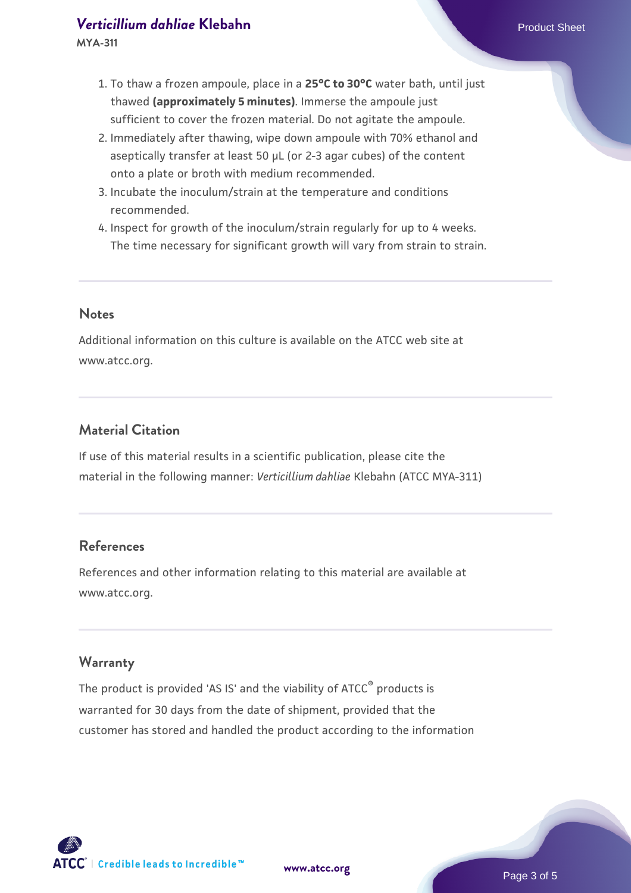## *[Verticillium dahliae](https://www.atcc.org/products/mya-311)* [Klebahn](https://www.atcc.org/products/mya-311) **Product Sheet**

**MYA-311**

- 1. To thaw a frozen ampoule, place in a **25°C to 30°C** water bath, until just thawed **(approximately 5 minutes)**. Immerse the ampoule just sufficient to cover the frozen material. Do not agitate the ampoule.
- 2. Immediately after thawing, wipe down ampoule with 70% ethanol and aseptically transfer at least 50 µL (or 2-3 agar cubes) of the content onto a plate or broth with medium recommended.
- 3. Incubate the inoculum/strain at the temperature and conditions recommended.
- 4. Inspect for growth of the inoculum/strain regularly for up to 4 weeks. The time necessary for significant growth will vary from strain to strain.

#### **Notes**

Additional information on this culture is available on the ATCC web site at www.atcc.org.

# **Material Citation**

If use of this material results in a scientific publication, please cite the material in the following manner: *Verticillium dahliae* Klebahn (ATCC MYA-311)

# **References**

References and other information relating to this material are available at www.atcc.org.

## **Warranty**

The product is provided 'AS IS' and the viability of ATCC<sup>®</sup> products is warranted for 30 days from the date of shipment, provided that the customer has stored and handled the product according to the information

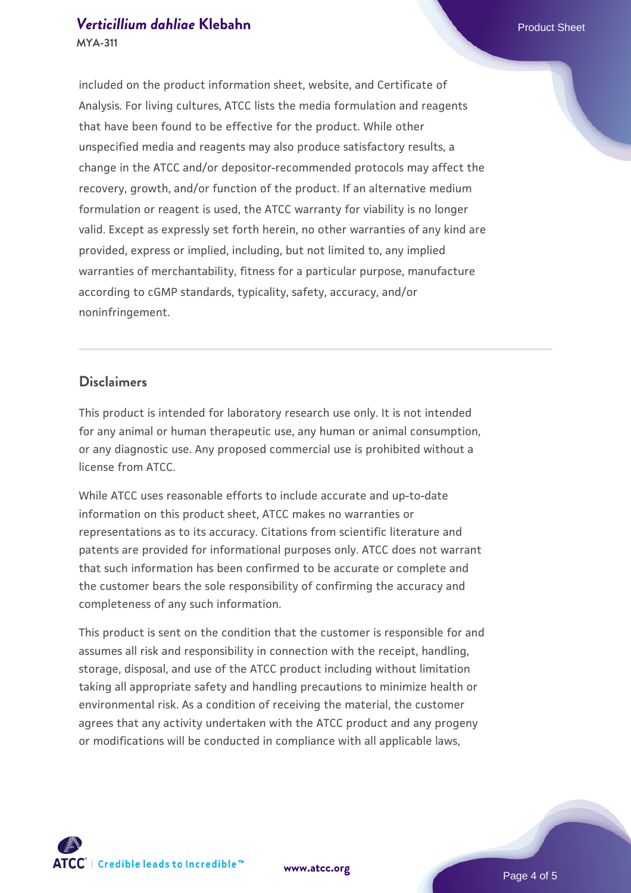## *[Verticillium dahliae](https://www.atcc.org/products/mya-311)* [Klebahn](https://www.atcc.org/products/mya-311) **Product Sheet MYA-311**

included on the product information sheet, website, and Certificate of Analysis. For living cultures, ATCC lists the media formulation and reagents that have been found to be effective for the product. While other unspecified media and reagents may also produce satisfactory results, a change in the ATCC and/or depositor-recommended protocols may affect the recovery, growth, and/or function of the product. If an alternative medium formulation or reagent is used, the ATCC warranty for viability is no longer valid. Except as expressly set forth herein, no other warranties of any kind are provided, express or implied, including, but not limited to, any implied warranties of merchantability, fitness for a particular purpose, manufacture according to cGMP standards, typicality, safety, accuracy, and/or noninfringement.

## **Disclaimers**

This product is intended for laboratory research use only. It is not intended for any animal or human therapeutic use, any human or animal consumption, or any diagnostic use. Any proposed commercial use is prohibited without a license from ATCC.

While ATCC uses reasonable efforts to include accurate and up-to-date information on this product sheet, ATCC makes no warranties or representations as to its accuracy. Citations from scientific literature and patents are provided for informational purposes only. ATCC does not warrant that such information has been confirmed to be accurate or complete and the customer bears the sole responsibility of confirming the accuracy and completeness of any such information.

This product is sent on the condition that the customer is responsible for and assumes all risk and responsibility in connection with the receipt, handling, storage, disposal, and use of the ATCC product including without limitation taking all appropriate safety and handling precautions to minimize health or environmental risk. As a condition of receiving the material, the customer agrees that any activity undertaken with the ATCC product and any progeny or modifications will be conducted in compliance with all applicable laws,



**[www.atcc.org](http://www.atcc.org)**

Page 4 of 5